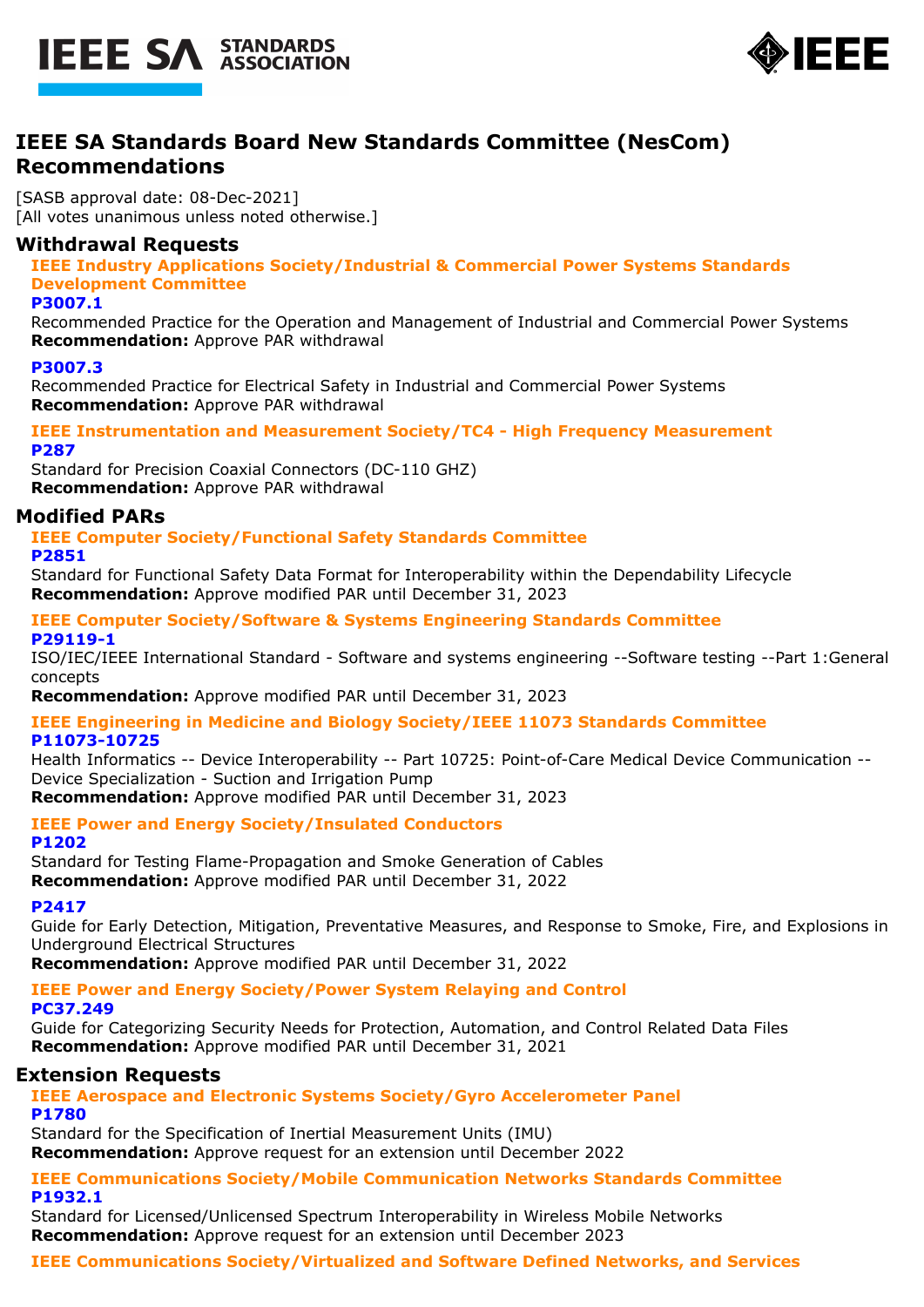



# **IEEE SA Standards Board New Standards Committee (NesCom) Recommendations**

[SASB approval date: 08-Dec-2021] [All votes unanimous unless noted otherwise.]

# **Withdrawal Requests**

**IEEE Industry Applications Society/Industrial & Commercial Power Systems Standards Development Committee**

#### **P3007.1**

Recommended Practice for the Operation and Management of Industrial and Commercial Power Systems **Recommendation:** Approve PAR withdrawal

#### **P3007.3**

Recommended Practice for Electrical Safety in Industrial and Commercial Power Systems **Recommendation:** Approve PAR withdrawal

#### **IEEE Instrumentation and Measurement Society/TC4 - High Frequency Measurement P287**

Standard for Precision Coaxial Connectors (DC-110 GHZ) **Recommendation:** Approve PAR withdrawal

# **Modified PARs**

# **IEEE Computer Society/Functional Safety Standards Committee**

**P2851**

Standard for Functional Safety Data Format for Interoperability within the Dependability Lifecycle **Recommendation:** Approve modified PAR until December 31, 2023

#### **IEEE Computer Society/Software & Systems Engineering Standards Committee P29119-1**

ISO/IEC/IEEE International Standard - Software and systems engineering --Software testing --Part 1:General concepts

**Recommendation:** Approve modified PAR until December 31, 2023

**IEEE Engineering in Medicine and Biology Society/IEEE 11073 Standards Committee P11073-10725**

Health Informatics -- Device Interoperability -- Part 10725: Point-of-Care Medical Device Communication -- Device Specialization - Suction and Irrigation Pump

**Recommendation:** Approve modified PAR until December 31, 2023

# **IEEE Power and Energy Society/Insulated Conductors**

#### **P1202**

Standard for Testing Flame-Propagation and Smoke Generation of Cables

**Recommendation:** Approve modified PAR until December 31, 2022

# **P2417**

Guide for Early Detection, Mitigation, Preventative Measures, and Response to Smoke, Fire, and Explosions in Underground Electrical Structures

**Recommendation:** Approve modified PAR until December 31, 2022

**IEEE Power and Energy Society/Power System Relaying and Control PC37.249**

Guide for Categorizing Security Needs for Protection, Automation, and Control Related Data Files **Recommendation:** Approve modified PAR until December 31, 2021

# **Extension Requests**

# **IEEE Aerospace and Electronic Systems Society/Gyro Accelerometer Panel P1780**

Standard for the Specification of Inertial Measurement Units (IMU) **Recommendation:** Approve request for an extension until December 2022

#### **IEEE Communications Society/Mobile Communication Networks Standards Committee P1932.1**

Standard for Licensed/Unlicensed Spectrum Interoperability in Wireless Mobile Networks **Recommendation:** Approve request for an extension until December 2023

# **IEEE Communications Society/Virtualized and Software Defined Networks, and Services**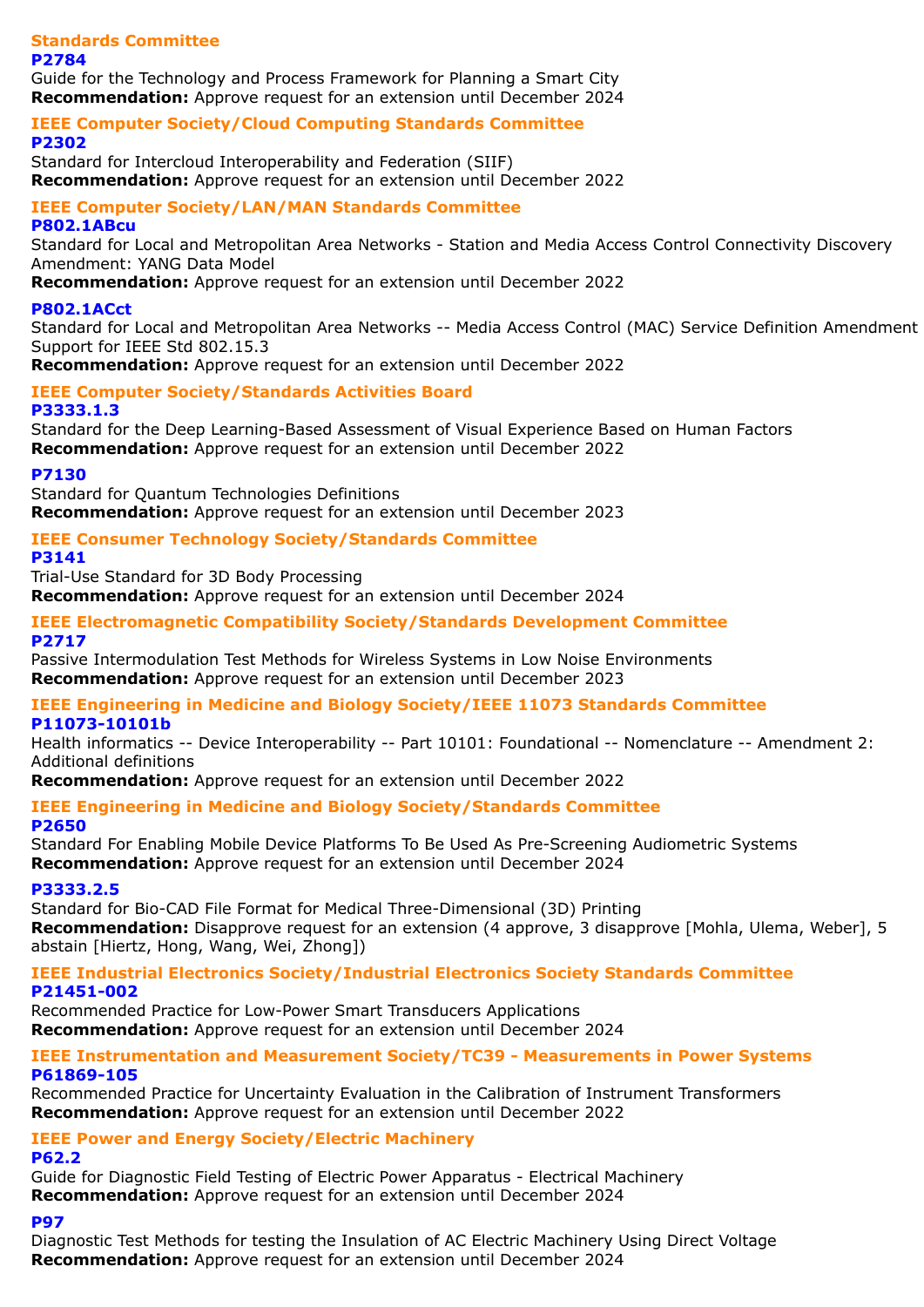#### **Standards Committee P2784**

Guide for the Technology and Process Framework for Planning a Smart City **Recommendation:** Approve request for an extension until December 2024

#### **IEEE Computer Society/Cloud Computing Standards Committee P2302**

Standard for Intercloud Interoperability and Federation (SIIF) **Recommendation:** Approve request for an extension until December 2022

# **IEEE Computer Society/LAN/MAN Standards Committee**

#### **P802.1ABcu**

Standard for Local and Metropolitan Area Networks - Station and Media Access Control Connectivity Discovery Amendment: YANG Data Model

**Recommendation:** Approve request for an extension until December 2022

### **P802.1ACct**

Standard for Local and Metropolitan Area Networks -- Media Access Control (MAC) Service Definition Amendment Support for IEEE Std 802.15.3

**Recommendation:** Approve request for an extension until December 2022

#### **IEEE Computer Society/Standards Activities Board P3333.1.3**

Standard for the Deep Learning-Based Assessment of Visual Experience Based on Human Factors **Recommendation:** Approve request for an extension until December 2022

#### **P7130**

Standard for Quantum Technologies Definitions **Recommendation:** Approve request for an extension until December 2023

# **IEEE Consumer Technology Society/Standards Committee**

# **P3141**

Trial-Use Standard for 3D Body Processing

**Recommendation:** Approve request for an extension until December 2024

#### **IEEE Electromagnetic Compatibility Society/Standards Development Committee P2717**

Passive Intermodulation Test Methods for Wireless Systems in Low Noise Environments **Recommendation:** Approve request for an extension until December 2023

#### **IEEE Engineering in Medicine and Biology Society/IEEE 11073 Standards Committee P11073-10101b**

Health informatics -- Device Interoperability -- Part 10101: Foundational -- Nomenclature -- Amendment 2: Additional definitions

**Recommendation:** Approve request for an extension until December 2022

# **IEEE Engineering in Medicine and Biology Society/Standards Committee**

# **P2650**

Standard For Enabling Mobile Device Platforms To Be Used As Pre-Screening Audiometric Systems **Recommendation:** Approve request for an extension until December 2024

# **P3333.2.5**

Standard for Bio-CAD File Format for Medical Three-Dimensional (3D) Printing **Recommendation:** Disapprove request for an extension (4 approve, 3 disapprove [Mohla, Ulema, Weber], 5 abstain [Hiertz, Hong, Wang, Wei, Zhong])

#### **IEEE Industrial Electronics Society/Industrial Electronics Society Standards Committee P21451-002**

Recommended Practice for Low-Power Smart Transducers Applications **Recommendation:** Approve request for an extension until December 2024

#### **IEEE Instrumentation and Measurement Society/TC39 - Measurements in Power Systems P61869-105**

Recommended Practice for Uncertainty Evaluation in the Calibration of Instrument Transformers **Recommendation:** Approve request for an extension until December 2022

# **IEEE Power and Energy Society/Electric Machinery**

**P62.2**

Guide for Diagnostic Field Testing of Electric Power Apparatus - Electrical Machinery **Recommendation:** Approve request for an extension until December 2024

# **P97**

Diagnostic Test Methods for testing the Insulation of AC Electric Machinery Using Direct Voltage **Recommendation:** Approve request for an extension until December 2024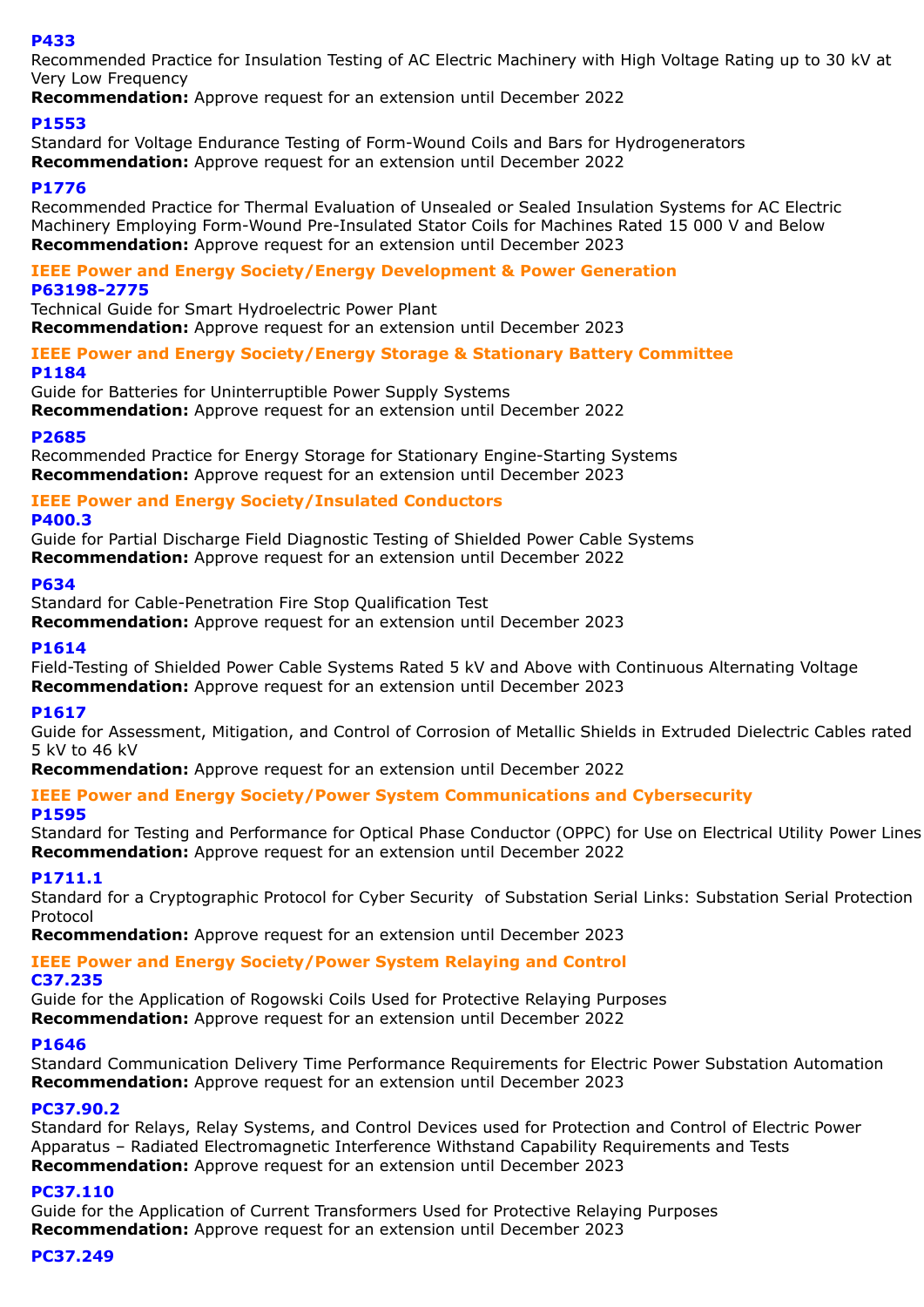#### **P433**

Recommended Practice for Insulation Testing of AC Electric Machinery with High Voltage Rating up to 30 kV at Very Low Frequency

**Recommendation:** Approve request for an extension until December 2022

### **P1553**

Standard for Voltage Endurance Testing of Form-Wound Coils and Bars for Hydrogenerators **Recommendation:** Approve request for an extension until December 2022

#### **P1776**

Recommended Practice for Thermal Evaluation of Unsealed or Sealed Insulation Systems for AC Electric Machinery Employing Form-Wound Pre-Insulated Stator Coils for Machines Rated 15 000 V and Below **Recommendation:** Approve request for an extension until December 2023

#### **IEEE Power and Energy Society/Energy Development & Power Generation P63198-2775**

Technical Guide for Smart Hydroelectric Power Plant

**Recommendation:** Approve request for an extension until December 2023

### **IEEE Power and Energy Society/Energy Storage & Stationary Battery Committee P1184**

Guide for Batteries for Uninterruptible Power Supply Systems

**Recommendation:** Approve request for an extension until December 2022

#### **P2685**

Recommended Practice for Energy Storage for Stationary Engine-Starting Systems **Recommendation:** Approve request for an extension until December 2023

#### **IEEE Power and Energy Society/Insulated Conductors**

#### **P400.3**

Guide for Partial Discharge Field Diagnostic Testing of Shielded Power Cable Systems **Recommendation:** Approve request for an extension until December 2022

#### **P634**

Standard for Cable-Penetration Fire Stop Qualification Test

**Recommendation:** Approve request for an extension until December 2023

#### **P1614**

Field-Testing of Shielded Power Cable Systems Rated 5 kV and Above with Continuous Alternating Voltage **Recommendation:** Approve request for an extension until December 2023

# **P1617**

Guide for Assessment, Mitigation, and Control of Corrosion of Metallic Shields in Extruded Dielectric Cables rated 5 kV to 46 kV

**Recommendation:** Approve request for an extension until December 2022

# **IEEE Power and Energy Society/Power System Communications and Cybersecurity**

#### **P1595**

Standard for Testing and Performance for Optical Phase Conductor (OPPC) for Use on Electrical Utility Power Lines **Recommendation:** Approve request for an extension until December 2022

#### **P1711.1**

Standard for a Cryptographic Protocol for Cyber Security of Substation Serial Links: Substation Serial Protection Protocol

**Recommendation:** Approve request for an extension until December 2023

# **IEEE Power and Energy Society/Power System Relaying and Control**

#### **C37.235**

Guide for the Application of Rogowski Coils Used for Protective Relaying Purposes **Recommendation:** Approve request for an extension until December 2022

#### **P1646**

Standard Communication Delivery Time Performance Requirements for Electric Power Substation Automation **Recommendation:** Approve request for an extension until December 2023

#### **PC37.90.2**

Standard for Relays, Relay Systems, and Control Devices used for Protection and Control of Electric Power Apparatus – Radiated Electromagnetic Interference Withstand Capability Requirements and Tests **Recommendation:** Approve request for an extension until December 2023

# **PC37.110**

Guide for the Application of Current Transformers Used for Protective Relaying Purposes **Recommendation:** Approve request for an extension until December 2023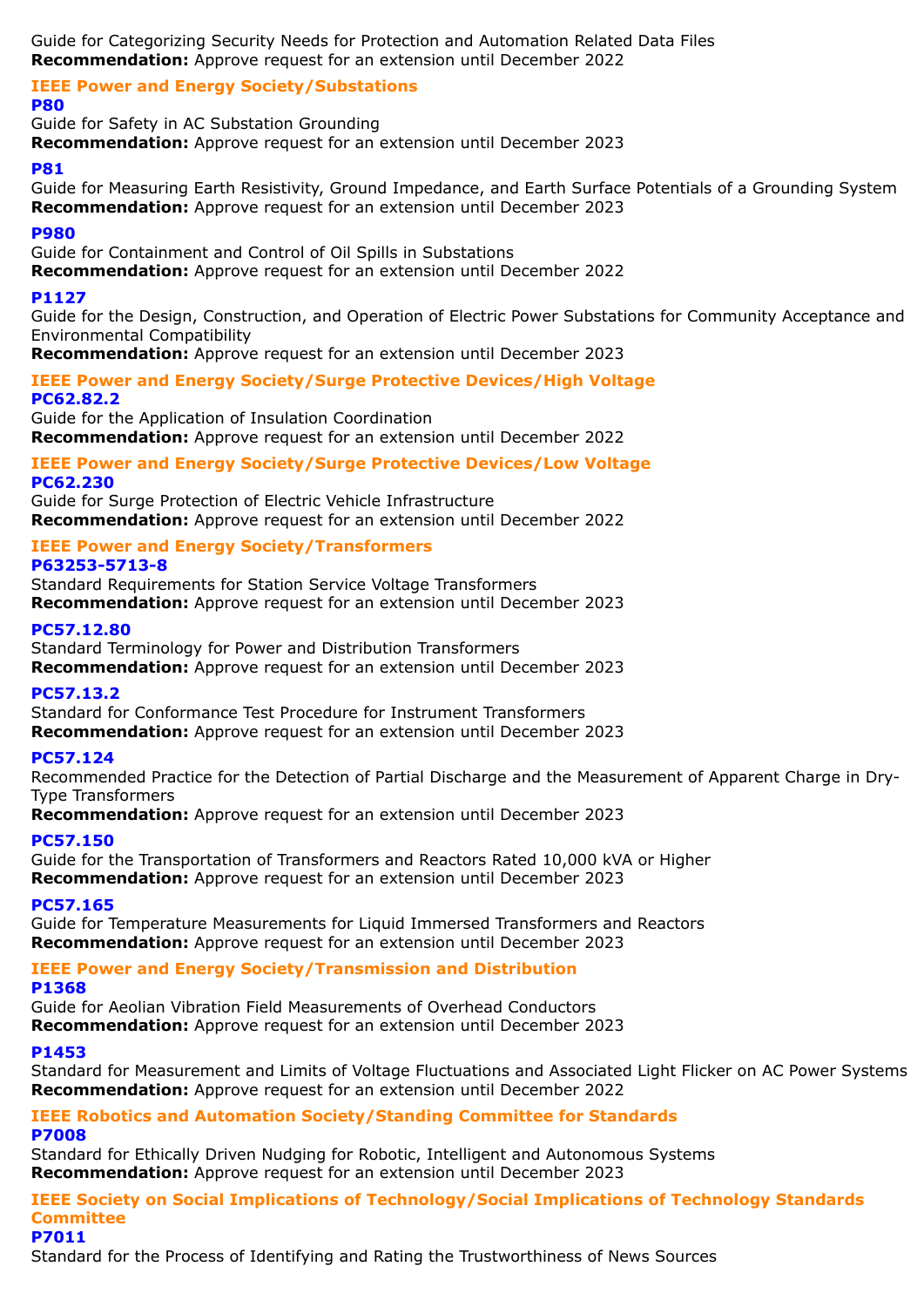Guide for Categorizing Security Needs for Protection and Automation Related Data Files **Recommendation:** Approve request for an extension until December 2022

#### **IEEE Power and Energy Society/Substations P80**

Guide for Safety in AC Substation Grounding **Recommendation:** Approve request for an extension until December 2023

# **P81**

Guide for Measuring Earth Resistivity, Ground Impedance, and Earth Surface Potentials of a Grounding System **Recommendation:** Approve request for an extension until December 2023

# **P980**

Guide for Containment and Control of Oil Spills in Substations

**Recommendation:** Approve request for an extension until December 2022

# **P1127**

Guide for the Design, Construction, and Operation of Electric Power Substations for Community Acceptance and Environmental Compatibility

**Recommendation:** Approve request for an extension until December 2023

# **IEEE Power and Energy Society/Surge Protective Devices/High Voltage PC62.82.2**

Guide for the Application of Insulation Coordination **Recommendation:** Approve request for an extension until December 2022

# **IEEE Power and Energy Society/Surge Protective Devices/Low Voltage PC62.230**

Guide for Surge Protection of Electric Vehicle Infrastructure **Recommendation:** Approve request for an extension until December 2022

#### **IEEE Power and Energy Society/Transformers P63253-5713-8**

Standard Requirements for Station Service Voltage Transformers **Recommendation:** Approve request for an extension until December 2023

# **PC57.12.80**

Standard Terminology for Power and Distribution Transformers **Recommendation:** Approve request for an extension until December 2023

# **PC57.13.2**

Standard for Conformance Test Procedure for Instrument Transformers **Recommendation:** Approve request for an extension until December 2023

# **PC57.124**

Recommended Practice for the Detection of Partial Discharge and the Measurement of Apparent Charge in Dry-Type Transformers

**Recommendation:** Approve request for an extension until December 2023

# **PC57.150**

Guide for the Transportation of Transformers and Reactors Rated 10,000 kVA or Higher **Recommendation:** Approve request for an extension until December 2023

# **PC57.165**

Guide for Temperature Measurements for Liquid Immersed Transformers and Reactors **Recommendation:** Approve request for an extension until December 2023

# **IEEE Power and Energy Society/Transmission and Distribution**

# **P1368**

Guide for Aeolian Vibration Field Measurements of Overhead Conductors **Recommendation:** Approve request for an extension until December 2023

# **P1453**

Standard for Measurement and Limits of Voltage Fluctuations and Associated Light Flicker on AC Power Systems **Recommendation:** Approve request for an extension until December 2022

# **IEEE Robotics and Automation Society/Standing Committee for Standards P7008**

Standard for Ethically Driven Nudging for Robotic, Intelligent and Autonomous Systems **Recommendation:** Approve request for an extension until December 2023

**IEEE Society on Social Implications of Technology/Social Implications of Technology Standards Committee P7011**

# Standard for the Process of Identifying and Rating the Trustworthiness of News Sources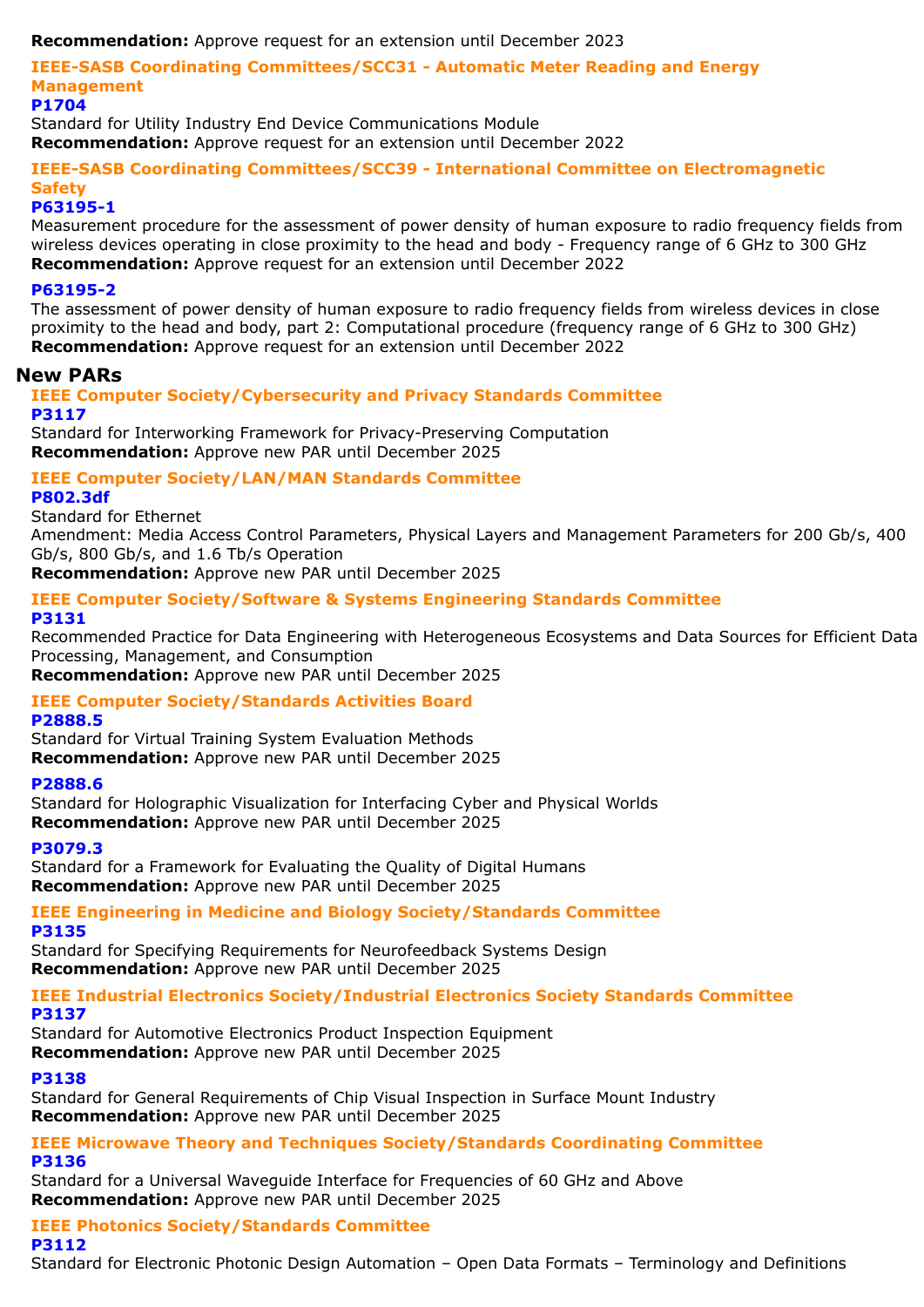**Recommendation:** Approve request for an extension until December 2023

**IEEE-SASB Coordinating Committees/SCC31 - Automatic Meter Reading and Energy Management**

#### **P1704**

Standard for Utility Industry End Device Communications Module

**Recommendation:** Approve request for an extension until December 2022

**IEEE-SASB Coordinating Committees/SCC39 - International Committee on Electromagnetic Safety**

### **P63195-1**

Measurement procedure for the assessment of power density of human exposure to radio frequency fields from wireless devices operating in close proximity to the head and body - Frequency range of 6 GHz to 300 GHz **Recommendation:** Approve request for an extension until December 2022

#### **P63195-2**

The assessment of power density of human exposure to radio frequency fields from wireless devices in close proximity to the head and body, part 2: Computational procedure (frequency range of 6 GHz to 300 GHz) **Recommendation:** Approve request for an extension until December 2022

# **New PARs**

# **IEEE Computer Society/Cybersecurity and Privacy Standards Committee P3117**

Standard for Interworking Framework for Privacy-Preserving Computation **Recommendation:** Approve new PAR until December 2025

#### **IEEE Computer Society/LAN/MAN Standards Committee P802.3df**

Standard for Ethernet

Amendment: Media Access Control Parameters, Physical Layers and Management Parameters for 200 Gb/s, 400 Gb/s, 800 Gb/s, and 1.6 Tb/s Operation

**Recommendation:** Approve new PAR until December 2025

#### **IEEE Computer Society/Software & Systems Engineering Standards Committee P3131**

Recommended Practice for Data Engineering with Heterogeneous Ecosystems and Data Sources for Efficient Data Processing, Management, and Consumption

**Recommendation:** Approve new PAR until December 2025

# **IEEE Computer Society/Standards Activities Board**

# **P2888.5**

Standard for Virtual Training System Evaluation Methods **Recommendation:** Approve new PAR until December 2025

#### **P2888.6**

Standard for Holographic Visualization for Interfacing Cyber and Physical Worlds **Recommendation:** Approve new PAR until December 2025

# **P3079.3**

Standard for a Framework for Evaluating the Quality of Digital Humans **Recommendation:** Approve new PAR until December 2025

#### **IEEE Engineering in Medicine and Biology Society/Standards Committee P3135**

Standard for Specifying Requirements for Neurofeedback Systems Design **Recommendation:** Approve new PAR until December 2025

**IEEE Industrial Electronics Society/Industrial Electronics Society Standards Committee P3137**

Standard for Automotive Electronics Product Inspection Equipment **Recommendation:** Approve new PAR until December 2025

# **P3138**

Standard for General Requirements of Chip Visual Inspection in Surface Mount Industry **Recommendation:** Approve new PAR until December 2025

#### **IEEE Microwave Theory and Techniques Society/Standards Coordinating Committee P3136**

Standard for a Universal Waveguide Interface for Frequencies of 60 GHz and Above **Recommendation:** Approve new PAR until December 2025

# **IEEE Photonics Society/Standards Committee**

**P3112**

Standard for Electronic Photonic Design Automation – Open Data Formats – Terminology and Definitions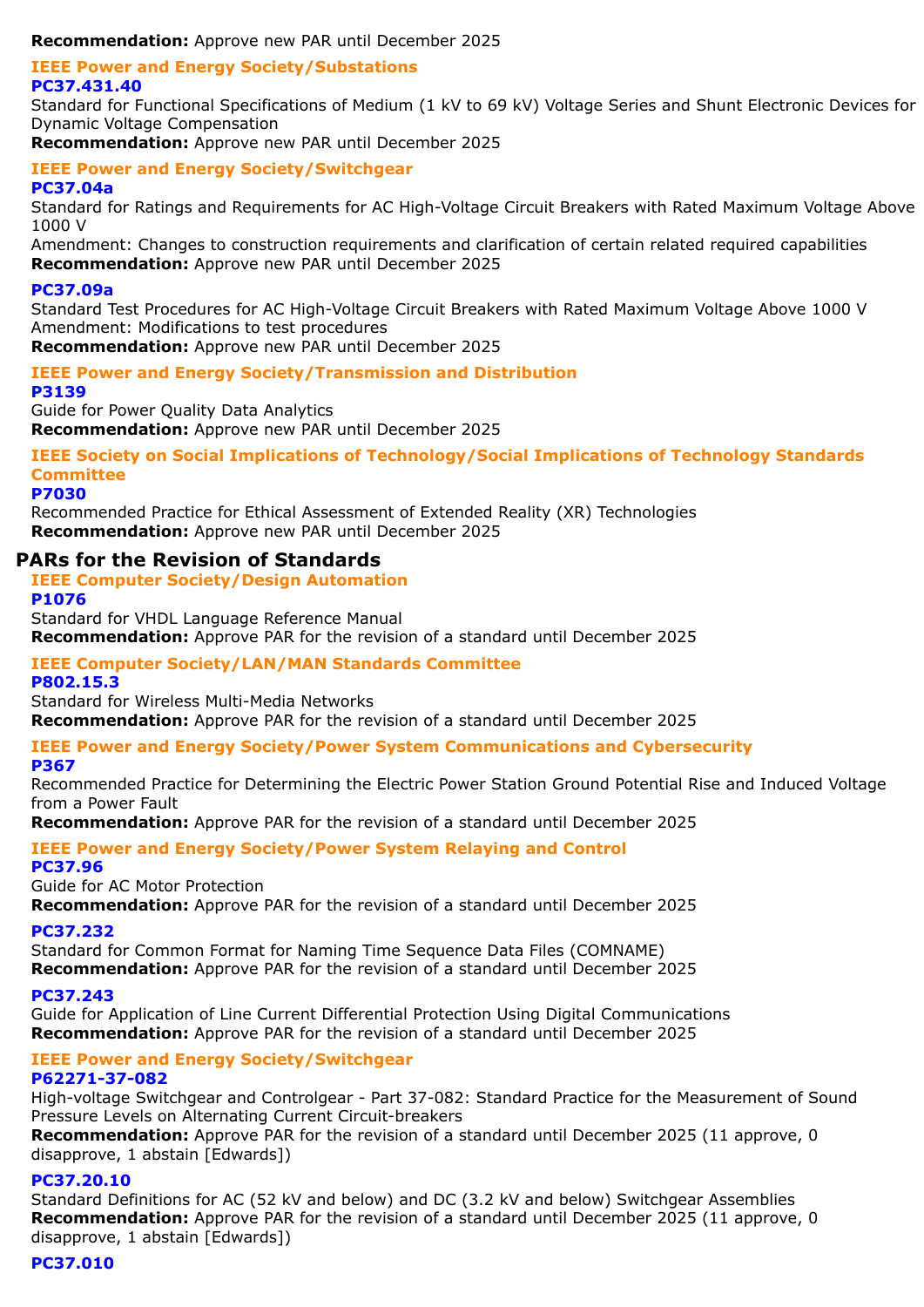**Recommendation:** Approve new PAR until December 2025

#### **IEEE Power and Energy Society/Substations PC37.431.40**

Standard for Functional Specifications of Medium (1 kV to 69 kV) Voltage Series and Shunt Electronic Devices for Dynamic Voltage Compensation

**Recommendation:** Approve new PAR until December 2025

# **IEEE Power and Energy Society/Switchgear**

#### **PC37.04a**

Standard for Ratings and Requirements for AC High-Voltage Circuit Breakers with Rated Maximum Voltage Above 1000 V

Amendment: Changes to construction requirements and clarification of certain related required capabilities **Recommendation:** Approve new PAR until December 2025

#### **PC37.09a**

Standard Test Procedures for AC High-Voltage Circuit Breakers with Rated Maximum Voltage Above 1000 V Amendment: Modifications to test procedures

**Recommendation:** Approve new PAR until December 2025

#### **IEEE Power and Energy Society/Transmission and Distribution**

#### **P3139**

Guide for Power Quality Data Analytics **Recommendation:** Approve new PAR until December 2025

**IEEE Society on Social Implications of Technology/Social Implications of Technology Standards Committee**

**P7030**

Recommended Practice for Ethical Assessment of Extended Reality (XR) Technologies **Recommendation:** Approve new PAR until December 2025

# **PARs for the Revision of Standards**

**IEEE Computer Society/Design Automation**

**P1076**

Standard for VHDL Language Reference Manual **Recommendation:** Approve PAR for the revision of a standard until December 2025

# **IEEE Computer Society/LAN/MAN Standards Committee**

**P802.15.3**

Standard for Wireless Multi-Media Networks

**Recommendation:** Approve PAR for the revision of a standard until December 2025

# **IEEE Power and Energy Society/Power System Communications and Cybersecurity**

#### **P367**

Recommended Practice for Determining the Electric Power Station Ground Potential Rise and Induced Voltage from a Power Fault

**Recommendation:** Approve PAR for the revision of a standard until December 2025

#### **IEEE Power and Energy Society/Power System Relaying and Control PC37.96**

Guide for AC Motor Protection

**Recommendation:** Approve PAR for the revision of a standard until December 2025

# **PC37.232**

Standard for Common Format for Naming Time Sequence Data Files (COMNAME)

**Recommendation:** Approve PAR for the revision of a standard until December 2025

# **PC37.243**

Guide for Application of Line Current Differential Protection Using Digital Communications **Recommendation:** Approve PAR for the revision of a standard until December 2025

#### **IEEE Power and Energy Society/Switchgear P62271-37-082**

High-voltage Switchgear and Controlgear - Part 37-082: Standard Practice for the Measurement of Sound Pressure Levels on Alternating Current Circuit-breakers

**Recommendation:** Approve PAR for the revision of a standard until December 2025 (11 approve, 0 disapprove, 1 abstain [Edwards])

# **PC37.20.10**

Standard Definitions for AC (52 kV and below) and DC (3.2 kV and below) Switchgear Assemblies **Recommendation:** Approve PAR for the revision of a standard until December 2025 (11 approve, 0 disapprove, 1 abstain [Edwards])

# **PC37.010**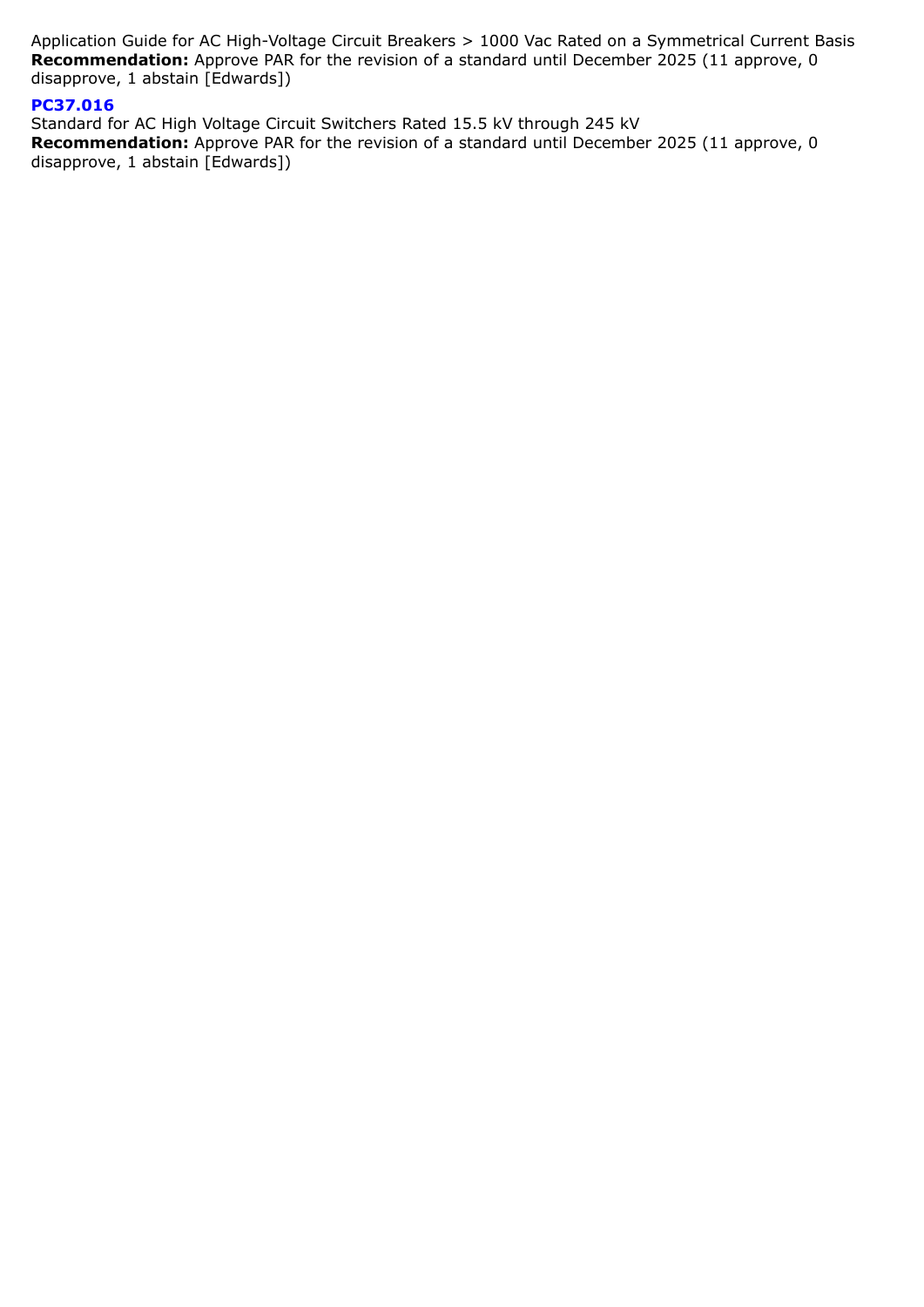Application Guide for AC High-Voltage Circuit Breakers > 1000 Vac Rated on a Symmetrical Current Basis **Recommendation:** Approve PAR for the revision of a standard until December 2025 (11 approve, 0 disapprove, 1 abstain [Edwards])

# **PC37.016**

Standard for AC High Voltage Circuit Switchers Rated 15.5 kV through 245 kV **Recommendation:** Approve PAR for the revision of a standard until December 2025 (11 approve, 0 disapprove, 1 abstain [Edwards])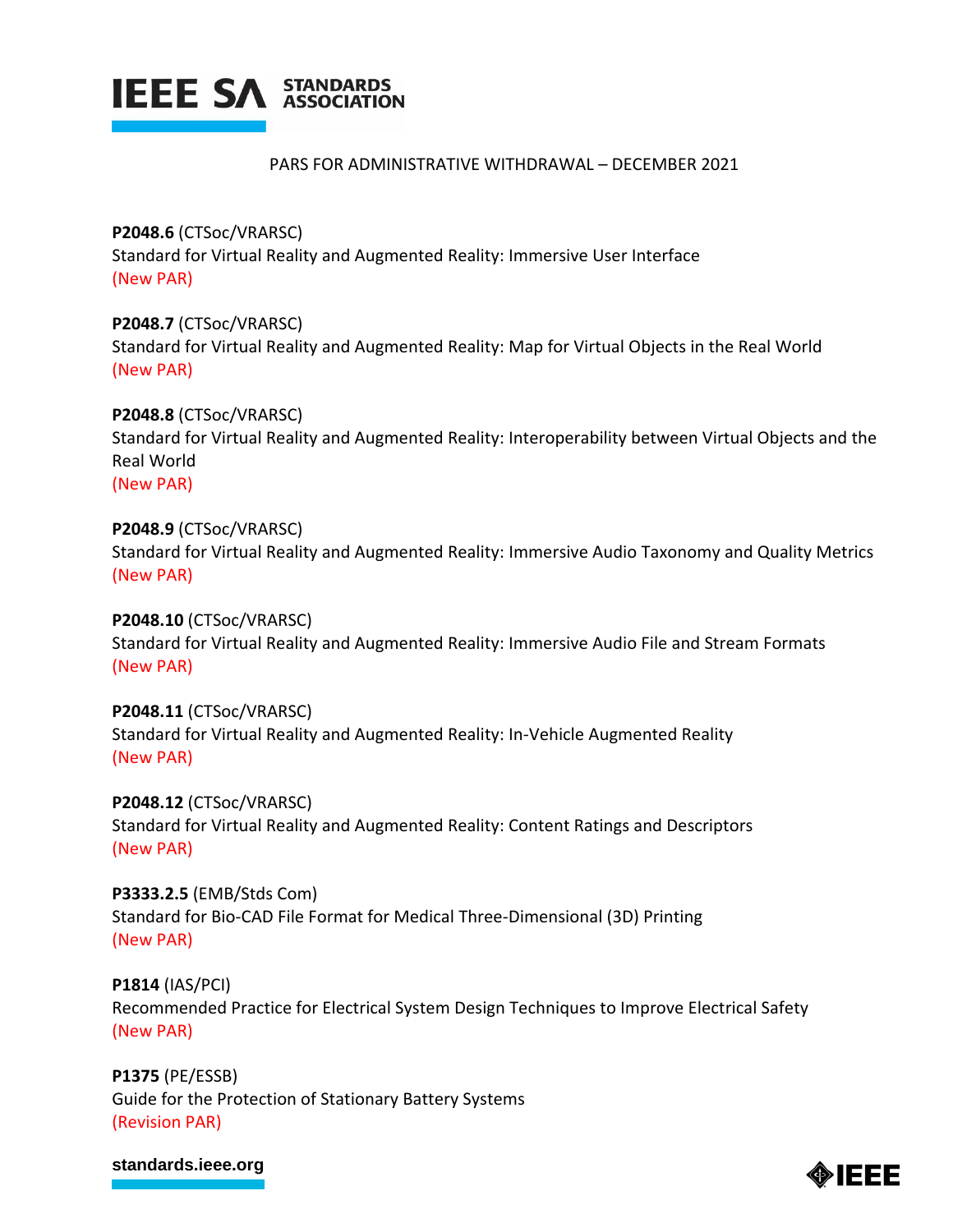

#### PARS FOR ADMINISTRATIVE WITHDRAWAL – DECEMBER 2021

**P2048.6** (CTSoc/VRARSC) Standard for Virtual Reality and Augmented Reality: Immersive User Interface (New PAR)

**P2048.7** (CTSoc/VRARSC) Standard for Virtual Reality and Augmented Reality: Map for Virtual Objects in the Real World (New PAR)

**P2048.8** (CTSoc/VRARSC) Standard for Virtual Reality and Augmented Reality: Interoperability between Virtual Objects and the Real World (New PAR)

**P2048.9** (CTSoc/VRARSC) Standard for Virtual Reality and Augmented Reality: Immersive Audio Taxonomy and Quality Metrics (New PAR)

**P2048.10** (CTSoc/VRARSC) Standard for Virtual Reality and Augmented Reality: Immersive Audio File and Stream Formats (New PAR)

**P2048.11** (CTSoc/VRARSC) Standard for Virtual Reality and Augmented Reality: In-Vehicle Augmented Reality (New PAR)

**P2048.12** (CTSoc/VRARSC) Standard for Virtual Reality and Augmented Reality: Content Ratings and Descriptors (New PAR)

**P3333.2.5** (EMB/Stds Com) Standard for Bio-CAD File Format for Medical Three-Dimensional (3D) Printing (New PAR)

**P1814** (IAS/PCI) Recommended Practice for Electrical System Design Techniques to Improve Electrical Safety (New PAR)

**P1375** (PE/ESSB) Guide for the Protection of Stationary Battery Systems (Revision PAR)

#### **[standards.ieee.org](http://standards.ieee.org/)**

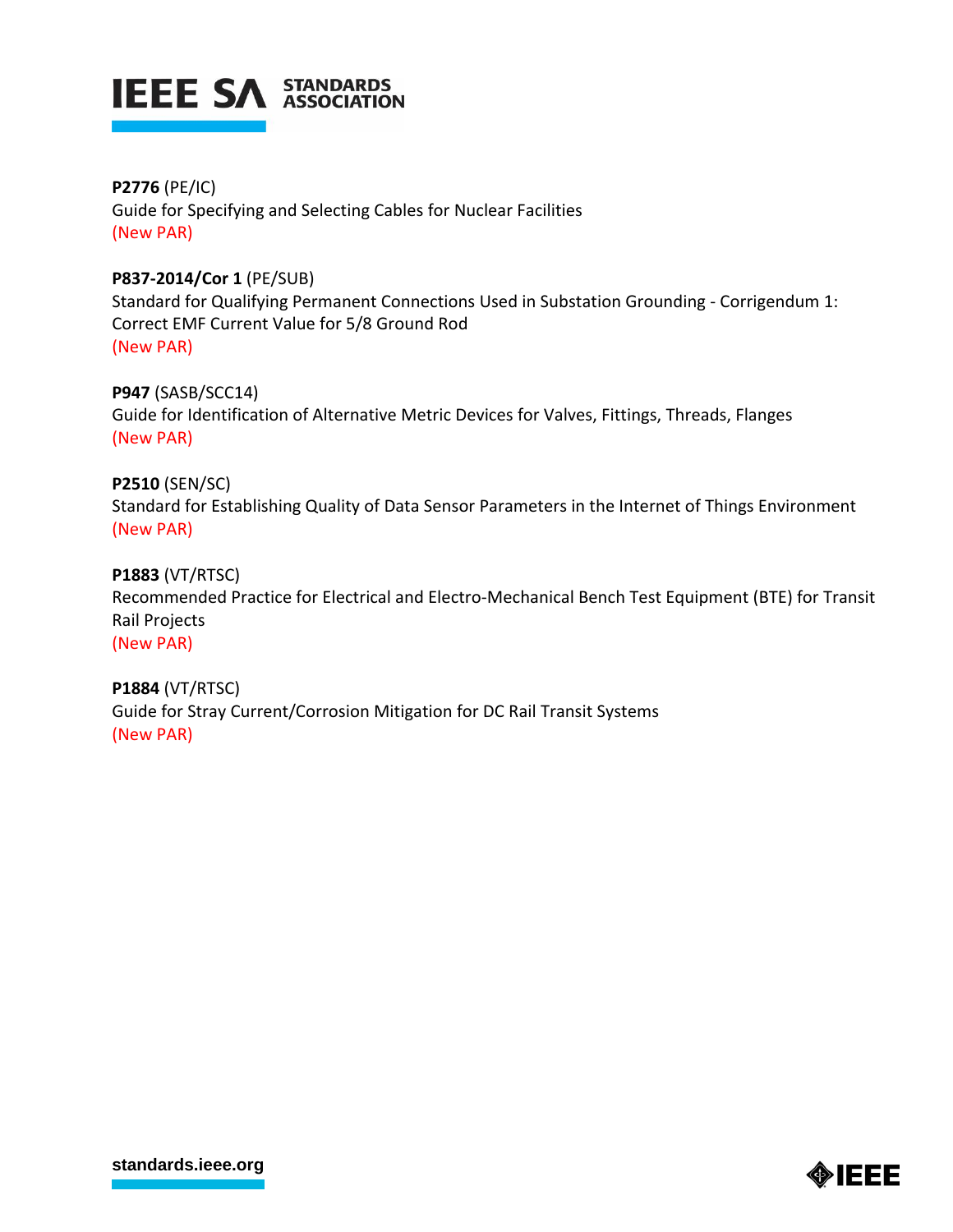

**P2776** (PE/IC) Guide for Specifying and Selecting Cables for Nuclear Facilities (New PAR)

# **P837-2014/Cor 1** (PE/SUB)

Standard for Qualifying Permanent Connections Used in Substation Grounding - Corrigendum 1: Correct EMF Current Value for 5/8 Ground Rod (New PAR)

**P947** (SASB/SCC14)

Guide for Identification of Alternative Metric Devices for Valves, Fittings, Threads, Flanges (New PAR)

**P2510** (SEN/SC) Standard for Establishing Quality of Data Sensor Parameters in the Internet of Things Environment (New PAR)

**P1883** (VT/RTSC)

Recommended Practice for Electrical and Electro-Mechanical Bench Test Equipment (BTE) for Transit Rail Projects (New PAR)

**P1884** (VT/RTSC) Guide for Stray Current/Corrosion Mitigation for DC Rail Transit Systems (New PAR)